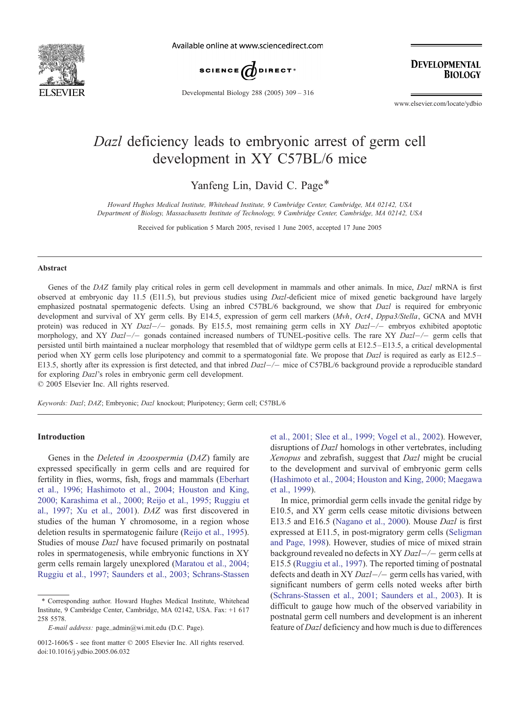

Available online at www.sciencedirect.com



Developmental Biology 288 (2005) 309 – 316

**DEVELOPMENTAL BIOLOGY** 

www.elsevier.com/locate/ydbio

# Dazl deficiency leads to embryonic arrest of germ cell development in XY C57BL/6 mice

Yanfeng Lin, David C. Page\*

Howard Hughes Medical Institute, Whitehead Institute, 9 Cambridge Center, Cambridge, MA 02142, USA Department of Biology, Massachusetts Institute of Technology, 9 Cambridge Center, Cambridge, MA 02142, USA

Received for publication 5 March 2005, revised 1 June 2005, accepted 17 June 2005

#### Abstract

Genes of the DAZ family play critical roles in germ cell development in mammals and other animals. In mice, Dazl mRNA is first observed at embryonic day 11.5 (E11.5), but previous studies using Dazl-deficient mice of mixed genetic background have largely emphasized postnatal spermatogenic defects. Using an inbred C57BL/6 background, we show that *Dazl* is required for embryonic development and survival of XY germ cells. By E14.5, expression of germ cell markers (Mvh, Oct4, Dppa3/Stella, GCNA and MVH protein) was reduced in XY Dazl $-/-$  gonads. By E15.5, most remaining germ cells in XY Dazl $-/-$  embryos exhibited apoptotic morphology, and XY Dazl $-/-$  gonads contained increased numbers of TUNEL-positive cells. The rare XY Dazl $-/-$  germ cells that persisted until birth maintained a nuclear morphology that resembled that of wildtype germ cells at E12.5 –E13.5, a critical developmental period when XY germ cells lose pluripotency and commit to a spermatogonial fate. We propose that Dazl is required as early as E12.5 – E13.5, shortly after its expression is first detected, and that inbred  $Dazl$  mice of C57BL/6 background provide a reproducible standard for exploring Dazl's roles in embryonic germ cell development.

 $© 2005 Elsevier Inc. All rights reserved.$ 

Keywords: Dazl; DAZ; Embryonic; Dazl knockout; Pluripotency; Germ cell; C57BL/6

## Introduction

Genes in the Deleted in Azoospermia (DAZ) family are expressed specifically in germ cells and are required for fertility in flies, worms, fish, frogs and mammals ([Eberhart](#page-6-0) et al., 1996; Hashimoto et al., 2004; Houston and King, 2000; Karashima et al., 2000; Reijo et al., 1995; Ruggiu et al., 1997; Xu et al., 2001). DAZ was first discovered in studies of the human Y chromosome, in a region whose deletion results in spermatogenic failure ([Reijo et al., 1995\)](#page-6-0). Studies of mouse Dazl have focused primarily on postnatal roles in spermatogenesis, while embryonic functions in XY germ cells remain largely unexplored ([Maratou et al., 2004;](#page-6-0) Ruggiu et al., 1997; Saunders et al., 2003; Schrans-Stassen

et al., 2001; Slee et al., 1999; Vogel et al., 2002). However, disruptions of *Dazl* homologs in other vertebrates, including Xenopus and zebrafish, suggest that Dazl might be crucial to the development and survival of embryonic germ cells [\(Hashimoto et al., 2004; Houston and King, 2000; Maegawa](#page-6-0) et al., 1999).

In mice, primordial germ cells invade the genital ridge by E10.5, and XY germ cells cease mitotic divisions between E13.5 and E16.5 ([Nagano et al., 2000\)](#page-6-0). Mouse Dazl is first expressed at E11.5, in post-migratory germ cells ([Seligman](#page-6-0) and Page, 1998). However, studies of mice of mixed strain background revealed no defects in XY  $Dazl$  -/- germ cells at [E15.5 \(Ruggiu et al., 1997\). The reported timing of postnatal](#page-6-0) defects and death in XY  $Dazl$  germ cells has varied, with significant numbers of germ cells noted weeks after birth ([Schrans-Stassen et al., 2001; Saunders et al., 2003\)](#page-6-0). It is difficult to gauge how much of the observed variability in postnatal germ cell numbers and development is an inherent feature of Dazl deficiency and how much is due to differences

<sup>\*</sup> Corresponding author. Howard Hughes Medical Institute, Whitehead Institute, 9 Cambridge Center, Cambridge, MA 02142, USA. Fax: +1 617 258 5578.

E-mail address: page\_admin@wi.mit.edu (D.C. Page).

<sup>0012-1606/\$ -</sup> see front matter © 2005 Elsevier Inc. All rights reserved. doi:10.1016/j.ydbio.2005.06.032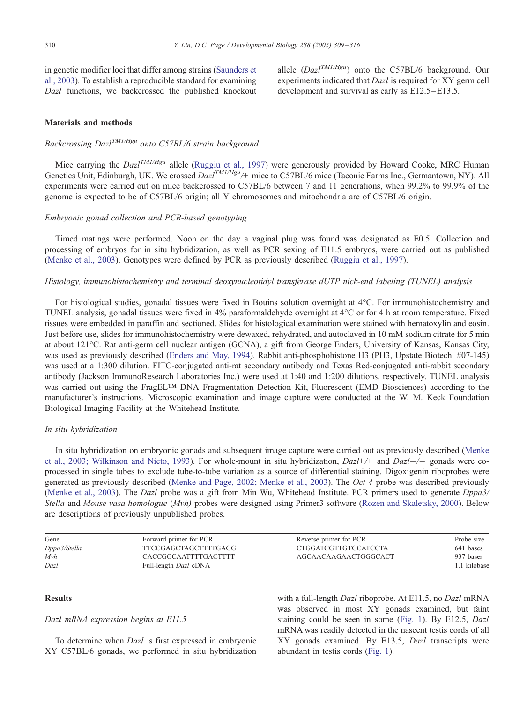in genetic modifier loci that differ among strains ([Saunders et](#page-6-0) al., 2003). To establish a reproducible standard for examining Dazl functions, we backcrossed the published knockout allele  $(Dazl^{TM1/Hgu})$  onto the C57BL/6 background. Our experiments indicated that Dazl is required for XY germ cell development and survival as early as E12.5–E13.5.

## Materials and methods

## Backcrossing Dazl<sup>TM1/Hgu</sup> onto C57BL/6 strain background

Mice carrying the  $DazI^{TM/Hgu}$  allele ([Ruggiu et al., 1997\)](#page-6-0) were generously provided by Howard Cooke, MRC Human Genetics Unit, Edinburgh, UK. We crossed  $\widetilde{Dazl}^{TM/Hgu}/+$  mice to C57BL/6 mice (Taconic Farms Inc., Germantown, NY). All experiments were carried out on mice backcrossed to C57BL/6 between 7 and 11 generations, when 99.2% to 99.9% of the genome is expected to be of C57BL/6 origin; all Y chromosomes and mitochondria are of C57BL/6 origin.

## Embryonic gonad collection and PCR-based genotyping

Timed matings were performed. Noon on the day a vaginal plug was found was designated as E0.5. Collection and processing of embryos for in situ hybridization, as well as PCR sexing of E11.5 embryos, were carried out as published ([Menke et al., 2003\)](#page-6-0). Genotypes were defined by PCR as previously described ([Ruggiu et al., 1997\)](#page-6-0).

#### Histology, immunohistochemistry and terminal deoxynucleotidyl transferase dUTP nick-end labeling (TUNEL) analysis

For histological studies, gonadal tissues were fixed in Bouins solution overnight at 4°C. For immunohistochemistry and TUNEL analysis, gonadal tissues were fixed in 4% paraformaldehyde overnight at 4<sup>o</sup>C or for 4 h at room temperature. Fixed tissues were embedded in paraffin and sectioned. Slides for histological examination were stained with hematoxylin and eosin. Just before use, slides for immunohistochemistry were dewaxed, rehydrated, and autoclaved in 10 mM sodium citrate for 5 min at about 121-C. Rat anti-germ cell nuclear antigen (GCNA), a gift from George Enders, University of Kansas, Kansas City, was used as previously described ([Enders and May, 1994\)](#page-6-0). Rabbit anti-phosphohistone H3 (PH3, Upstate Biotech. #07-145) was used at a 1:300 dilution. FITC-conjugated anti-rat secondary antibody and Texas Red-conjugated anti-rabbit secondary antibody (Jackson ImmunoResearch Laboratories Inc.) were used at 1:40 and 1:200 dilutions, respectively. TUNEL analysis was carried out using the FragEL<sup>TM</sup> DNA Fragmentation Detection Kit, Fluorescent (EMD Biosciences) according to the manufacturer's instructions. Microscopic examination and image capture were conducted at the W. M. Keck Foundation Biological Imaging Facility at the Whitehead Institute.

#### In situ hybridization

In situ hybridization on embryonic gonads and subseque[nt image capture were carried out as previously described \(Menke](#page-6-0) et al., 2003; Wilkinson and Nieto, 1993). For whole-mount in situ hybridization,  $DazI+/+$  and  $DazI-/-$  gonads were coprocessed in single tubes to exclude tube-to-tube variation as a source of differential staining. Digoxigenin riboprobes were generated as previously described ([Menke and Page, 2002; Menke et al., 2003\)](#page-6-0). The Oct-4 probe was described previously ([Menke et al., 2003\)](#page-6-0). The Dazl probe was a gift from Min Wu, Whitehead Institute. PCR primers used to generate Dppa3/ Stella and Mouse vasa homologue (Mvh) probes were designed using Primer3 software ([Rozen and Skaletsky, 2000\)](#page-6-0). Below are descriptions of previously unpublished probes.

| Gene         | Forward primer for PCR       | Reverse primer for PCR      | Probe size   |
|--------------|------------------------------|-----------------------------|--------------|
| Dppa3/Stella | TTCCGAGCTAGCTTTTGAGG         | <b>CTGGATCGTTGTGCATCCTA</b> | 641 bases    |
| Mvh          | CACCGGCAATTTTGACTTTT         | AGCAACAAGAACTGGGCACT        | 937 bases    |
| Dazl         | Full-length <i>Dazl</i> cDNA |                             | 1.1 kilobase |

#### **Results**

#### Dazl mRNA expression begins at E11.5

To determine when Dazl is first expressed in embryonic XY C57BL/6 gonads, we performed in situ hybridization with a full-length *Dazl* riboprobe. At E11.5, no *Dazl* mRNA was observed in most XY gonads examined, but faint staining could be seen in some ([Fig. 1\)](#page-2-0). By E12.5, Dazl mRNA was readily detected in the nascent testis cords of all XY gonads examined. By E13.5, Dazl transcripts were abundant in testis cords ([Fig. 1\)](#page-2-0).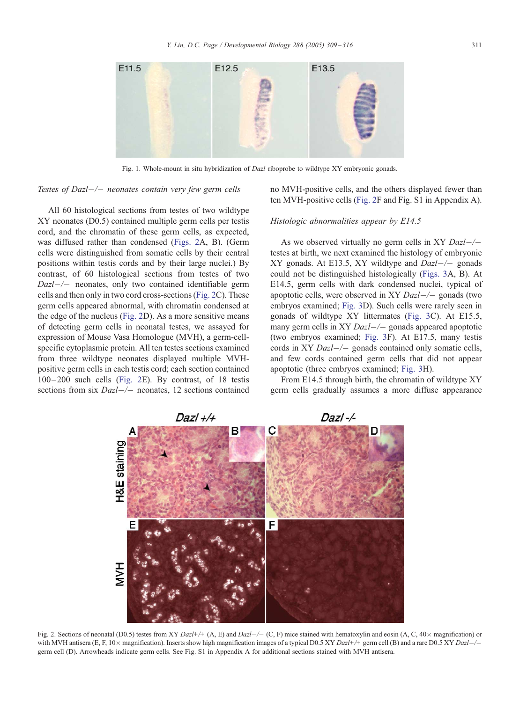<span id="page-2-0"></span>

Fig. 1. Whole-mount in situ hybridization of *Dazl* riboprobe to wildtype XY embryonic gonads.

## Testes of Dazl $-/-$  neonates contain very few germ cells

All 60 histological sections from testes of two wildtype XY neonates (D0.5) contained multiple germ cells per testis cord, and the chromatin of these germ cells, as expected, was diffused rather than condensed (Figs. 2A, B). (Germ cells were distinguished from somatic cells by their central positions within testis cords and by their large nuclei.) By contrast, of 60 histological sections from testes of two  $Dazl$  neonates, only two contained identifiable germ cells and then only in two cord cross-sections (Fig. 2C). These germ cells appeared abnormal, with chromatin condensed at the edge of the nucleus (Fig. 2D). As a more sensitive means of detecting germ cells in neonatal testes, we assayed for expression of Mouse Vasa Homologue (MVH), a germ-cellspecific cytoplasmic protein. All ten testes sections examined from three wildtype neonates displayed multiple MVHpositive germ cells in each testis cord; each section contained 100– 200 such cells (Fig. 2E). By contrast, of 18 testis sections from six  $Dazl$  neonates, 12 sections contained

no MVH-positive cells, and the others displayed fewer than ten MVH-positive cells (Fig. 2F and Fig. S1 in Appendix A).

#### Histologic abnormalities appear by E14.5

As we observed virtually no germ cells in XY  $Dazl$ -/testes at birth, we next examined the histology of embryonic XY gonads. At E13.5, XY wildtype and  $Dazl$ -/- gonads could not be distinguished histologically ([Figs. 3A](#page-3-0), B). At E14.5, germ cells with dark condensed nuclei, typical of apoptotic cells, were observed in XY  $DazI$  gonads (two embryos examined; [Fig. 3D](#page-3-0)). Such cells were rarely seen in gonads of wildtype XY littermates ([Fig. 3C](#page-3-0)). At E15.5, many germ cells in XY  $Dazl$  gonads appeared apoptotic (two embryos examined; [Fig. 3F](#page-3-0)). At E17.5, many testis cords in XY  $Dazl$ -/- gonads contained only somatic cells, and few cords contained germ cells that did not appear apoptotic (three embryos examined; [Fig. 3H](#page-3-0)).

From E14.5 through birth, the chromatin of wildtype XY germ cells gradually assumes a more diffuse appearance



Fig. 2. Sections of neonatal (D0.5) testes from XY Dazl+/+ (A, E) and Dazl-/- (C, F) mice stained with hematoxylin and eosin (A, C, 40 $\times$  magnification) or with MVH antisera (E, F, 10 x magnification). Inserts show high magnification images of a typical D0.5 XY Dazl+/+ germ cell (B) and a rare D0.5 XY Dazl-/germ cell (D). Arrowheads indicate germ cells. See Fig. S1 in Appendix A for additional sections stained with MVH antisera.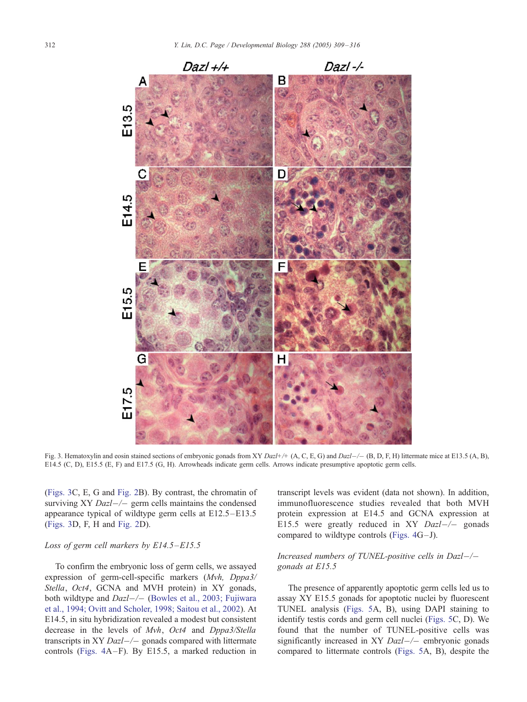<span id="page-3-0"></span>

Fig. 3. Hematoxylin and eosin stained sections of embryonic gonads from XY Dazl+/+ (A, C, E, G) and Dazl-/- (B, D, F, H) littermate mice at E13.5 (A, B), E14.5 (C, D), E15.5 (E, F) and E17.5 (G, H). Arrowheads indicate germ cells. Arrows indicate presumptive apoptotic germ cells.

(Figs. 3C, E, G and [Fig. 2B](#page-2-0)). By contrast, the chromatin of surviving XY  $Dazl$ -/- germ cells maintains the condensed appearance typical of wildtype germ cells at E12.5 –E13.5 (Figs. 3D, F, H and [Fig. 2D](#page-2-0)).

## Loss of germ cell markers by  $E14.5 - E15.5$

To confirm the embryonic loss of germ cells, we assayed expression of germ-cell-specific markers (Mvh, Dppa3/ Stella, Oct4, GCNA and MVH protein) in XY gonads, both wildtype and  $Dazl$  ([Bowles et al., 2003; Fujiwara](#page-6-0) et al., 1994; Ovitt and Scholer, 1998; Saitou et al., 2002). At E14.5, in situ hybridization revealed a modest but consistent decrease in the levels of Mvh, Oct4 and Dppa3/Stella transcripts in XY  $Dazl$ -/- gonads compared with littermate controls ([Figs. 4A](#page-4-0) –F). By E15.5, a marked reduction in

transcript levels was evident (data not shown). In addition, immunofluorescence studies revealed that both MVH protein expression at E14.5 and GCNA expression at E15.5 were greatly reduced in XY  $Dazl$ -/- gonads compared to wildtype controls (Figs.  $4G-J$ ).

## Increased numbers of TUNEL-positive cells in Dazl $-/$ gonads at E15.5

The presence of apparently apoptotic germ cells led us to [assay XY E15.5 gonads for apoptotic nuclei by fluorescent](#page-6-0) TUNEL analysis ([Figs. 5A](#page-5-0), B), using DAPI staining to identify testis cords and germ cell nuclei ([Figs. 5C](#page-5-0), D). We found that the number of TUNEL-positive cells was significantly increased in XY  $Dazl$  –/– embryonic gonads compared to littermate controls ([Figs. 5A](#page-5-0), B), despite the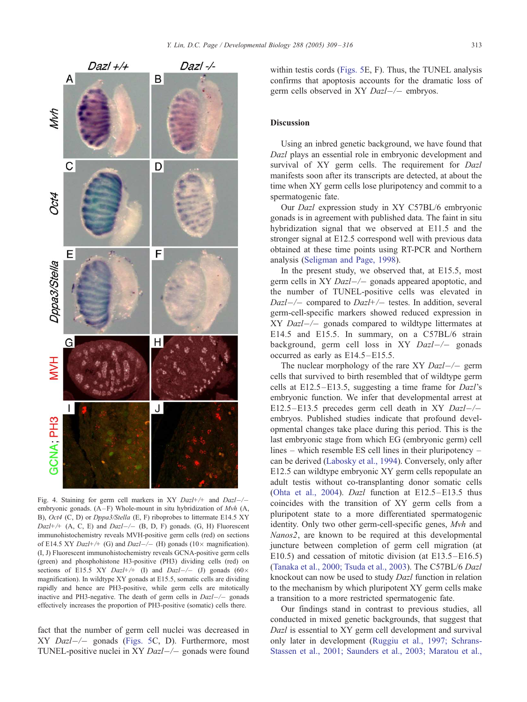<span id="page-4-0"></span>

Fig. 4. Staining for germ cell markers in XY  $Dazl+\!$  and  $Dazl-\!$ embryonic gonads.  $(A - F)$  Whole-mount in situ hybridization of Mvh  $(A, A)$ B), *Oct4* (C, D) or *Dppa3/Stella* (E, F) riboprobes to littermate E14.5 XY  $Dazl+$  (A, C, E) and  $Dazl-$  (B, D, F) gonads. (G, H) Fluorescent immunohistochemistry reveals MVH-positive germ cells (red) on sections of E14.5 XY Dazl+/+ (G) and Dazl-/- (H) gonads (10 $\times$  magnification). (I, J) Fluorescent immunohistochemistry reveals GCNA-positive germ cells (green) and phosphohistone H3-positive (PH3) dividing cells (red) on sections of E15.5 XY Dazl+/+ (I) and Dazl-/- (J) gonads (60 $\times$ magnification). In wildtype XY gonads at E15.5, somatic cells are dividing rapidly and hence are PH3-positive, while germ cells are mitotically inactive and PH3-negative. The death of germ cells in  $DazI$  gonads effectively increases the proportion of PH3-positive (somatic) cells there.

fact that the number of germ cell nuclei was decreased in  $XY$  *Dazl-/-* gonads ([Figs. 5C](#page-5-0), D). Furthermore, most TUNEL-positive nuclei in XY  $Dazl$  –/– gonads were found within testis cords ([Figs. 5E](#page-5-0), F). Thus, the TUNEL analysis confirms that apoptosis accounts for the dramatic loss of germ cells observed in XY  $Dazl$  –/– embryos.

## **Discussion**

Using an inbred genetic background, we have found that Dazl plays an essential role in embryonic development and survival of XY germ cells. The requirement for Dazl manifests soon after its transcripts are detected, at about the time when XY germ cells lose pluripotency and commit to a spermatogenic fate.

Our Dazl expression study in XY C57BL/6 embryonic gonads is in agreement with published data. The faint in situ hybridization signal that we observed at E11.5 and the stronger signal at E12.5 correspond well with previous data obtained at these time points using RT-PCR and Northern analysis ([Seligman and Page, 1998\)](#page-6-0).

In the present study, we observed that, at E15.5, most germ cells in XY  $Dazl$ - $\rightarrow$  gonads appeared apoptotic, and the number of TUNEL-positive cells was elevated in  $Dazl$  -/- compared to  $Dazl$ +/- testes. In addition, several germ-cell-specific markers showed reduced expression in  $XY$  Dazl $-/-$  gonads compared to wildtype littermates at E14.5 and E15.5. In summary, on a C57BL/6 strain background, germ cell loss in XY  $Dazl$ -/- gonads occurred as early as E14.5 –E15.5.

The nuclear morphology of the rare XY  $Dazl$ -/- germ cells that survived to birth resembled that of wildtype germ cells at E12.5 –E13.5, suggesting a time frame for Dazl's embryonic function. We infer that developmental arrest at E12.5–E13.5 precedes germ cell death in XY  $Dazl$ –/– embryos. Published studies indicate that profound developmental changes take place during this period. This is the last embryonic stage from which EG (embryonic germ) cell lines – which resemble ES cell lines in their pluripotency – can be derived ([Labosky et al., 1994\)](#page-6-0). Conversely, only after E12.5 can wildtype embryonic XY germ cells repopulate an adult testis without co-transplanting donor somatic cells ([Ohta et al., 2004\)](#page-6-0). Dazl function at E12.5–E13.5 thus coincides with the transition of XY germ cells from a pluripotent state to a more differentiated spermatogenic identity. Only two other germ-cell-specific genes, Mvh and Nanos2, are known to be required at this developmental juncture between completion of germ cell migration (at E10.5) and cessation of mitotic division (at E13.5–E16.5) ([Tanaka et al., 2000; Tsuda et al., 2003\)](#page-6-0). The C57BL/6 Dazl knockout can now be used to study Dazl function in relation to the mechanism by which pluripotent XY germ cells make a transition to a more restricted spermatogenic fate.

Our findings stand in contrast to previous studies, all conducted in mixed genetic backgrounds, that suggest that Dazl is essential to XY germ cell development and survival only later in development ([Ruggiu et al., 1997; Schrans-](#page-6-0)Stassen et al., 2001; Saunders et al., 2003; Maratou et al.,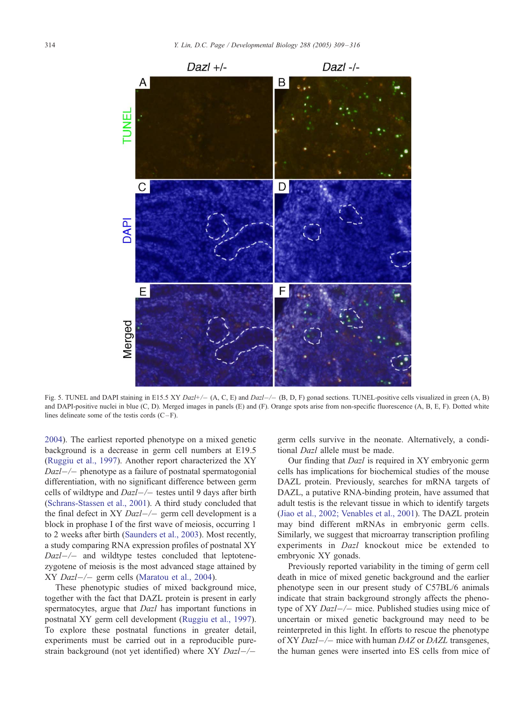<span id="page-5-0"></span>

Fig. 5. TUNEL and DAPI staining in E15.5 XY Dazl+/- (A, C, E) and Dazl-/- (B, D, F) gonad sections. TUNEL-positive cells visualized in green (A, B) and DAPI-positive nuclei in blue (C, D). Merged images in panels (E) and (F). Orange spots arise from non-specific fluorescence (A, B, E, F). Dotted white lines delineate some of the testis cords  $(C - F)$ .

2004). The earliest reported phenotype on a mixed genetic background is a decrease in germ cell numbers at E19.5 ([Ruggiu et al., 1997\)](#page-6-0). Another report characterized the XY  $Dazl$  -/- phenotype as a failure of postnatal spermatogonial differentiation, with no significant difference between germ cells of wildtype and  $Dazl$  testes until 9 days after birth ([Schrans-Stassen et al., 2001\)](#page-6-0). A third study concluded that the final defect in XY  $Dazl$ -/- germ cell development is a block in prophase I of the first wave of meiosis, occurring 1 to 2 weeks after birth ([Saunders et al., 2003\)](#page-6-0). Most recently, a study comparing RNA expression profiles of postnatal XY  $Dazl$ -/- and wildtype testes concluded that leptotenezygotene of meiosis is the most advanced stage attained by  $XY$  *Dazl-/-* germ cells ([Maratou et al., 2004\)](#page-6-0).

These phenotypic studies of mixed background mice, together with the fact that DAZL protein is present in early spermatocytes, argue that Dazl has important functions in postnatal XY germ cell development ([Ruggiu et al., 1997\)](#page-6-0). To explore these postnatal functions in greater detail, experiments must be carried out in a reproducible purestrain background (not yet identified) where  $XY$   $Dazl$  -/- germ cells survive in the neonate. Alternatively, a conditional *Dazl* allele must be made.

Our finding that Dazl is required in XY embryonic germ cells has implications for biochemical studies of the mouse DAZL protein. Previously, searches for mRNA targets of DAZL, a putative RNA-binding protein, have assumed that adult testis is the relevant tissue in which to identify targets ([Jiao et al., 2002; Venables et al., 2001\)](#page-6-0). The DAZL protein may bind different mRNAs in embryonic germ cells. Similarly, we suggest that microarray transcription profiling experiments in Dazl knockout mice be extended to embryonic XY gonads.

Previously reported variability in the timing of germ cell death in mice of mixed genetic background and the earlier phenotype seen in our present study of C57BL/6 animals indicate that strain background strongly affects the phenotype of XY  $Dazl$ -/- mice. Published studies using mice of uncertain or mixed genetic background may need to be reinterpreted in this light. In efforts to rescue the phenotype of XY  $Dazl$  –/– mice with human DAZ or DAZL transgenes, the human genes were inserted into ES cells from mice of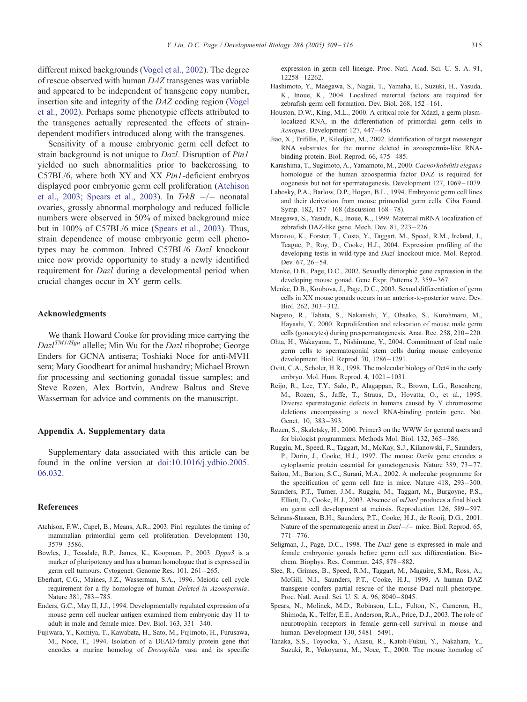<span id="page-6-0"></span>different mixed backgrounds ([Vogel et al., 2002\)](#page-7-0). The degree of rescue observed with human DAZ transgenes was variable and appeared to be independent of transgene copy number, insertion site and integrity of the DAZ coding region ([Vogel](#page-7-0) et al., 2002). Perhaps some phenotypic effects attributed to the transgenes actually represented the effects of straindependent modifiers introduced along with the transgenes.

Sensitivity of a mouse embryonic germ cell defect to strain background is not unique to Dazl. Disruption of Pin1 yielded no such abnormalities prior to backcrossing to C57BL/6, where both XY and XX Pin1-deficient embryos displayed poor embryonic germ cell proliferation (Atchison et al., 2003; Spears et al., 2003). In TrkB  $-/-$  neonatal ovaries, grossly abnormal morphology and reduced follicle numbers were observed in 50% of mixed background mice but in 100% of C57BL/6 mice (Spears et al., 2003). Thus, strain dependence of mouse embryonic germ cell phenotypes may be common. Inbred C57BL/6 Dazl knockout mice now provide opportunity to study a newly identified requirement for Dazl during a developmental period when crucial changes occur in XY germ cells.

#### Acknowledgments

We thank Howard Cooke for providing mice carrying the  $DazI^{TM1/Hgu}$  allelle; Min Wu for the  $DazI$  riboprobe; George Enders for GCNA antisera; Toshiaki Noce for anti-MVH sera; Mary Goodheart for animal husbandry; Michael Brown for processing and sectioning gonadal tissue samples; and Steve Rozen, Alex Bortvin, Andrew Baltus and Steve Wasserman for advice and comments on the manuscript.

#### Appendix A. Supplementary data

Supplementary data associated with this article can be found in the online version at [doi:10.1016/j.ydbio.2005.]( http:\\dx.doi.org\doi:10.1016\j.ydbio.2005.06.032 ) 06.032.

#### References

- Atchison, F.W., Capel, B., Means, A.R., 2003. Pin1 regulates the timing of mammalian primordial germ cell proliferation. Development 130, 3579 – 3586.
- Bowles, J., Teasdale, R.P., James, K., Koopman, P., 2003. Dppa3 is a marker of pluripotency and has a human homologue that is expressed in germ cell tumours. Cytogenet. Genome Res. 101, 261 – 265.
- Eberhart, C.G., Maines, J.Z., Wasserman, S.A., 1996. Meiotic cell cycle requirement for a fly homologue of human Deleted in Azoospermia. Nature 381, 783-785.
- Enders, G.C., May II, J.J., 1994. Developmentally regulated expression of a mouse germ cell nuclear antigen examined from embryonic day 11 to adult in male and female mice. Dev. Biol. 163, 331 – 340.
- Fujiwara, Y., Komiya, T., Kawabata, H., Sato, M., Fujimoto, H., Furusawa, M., Noce, T., 1994. Isolation of a DEAD-family protein gene that encodes a murine homolog of Drosophila vasa and its specific

expression in germ cell lineage. Proc. Natl. Acad. Sci. U. S. A. 91, 12258 – 12262.

- Hashimoto, Y., Maegawa, S., Nagai, T., Yamaha, E., Suzuki, H., Yasuda, [K., Inoue, K., 2004. Localized maternal factors are required for](#page-7-0) zebrafish germ cell formation. Dev. Biol. 268, 152-161.
- Houston, D.W., King, M.L., 2000. A critical role for Xdazl, a germ plasmlocalized RNA, in the differentiation of primordial germ cells in Xenopus. Development 127, 447 – 456.
- Jiao, X., Trifillis, P., Kiledjian, M., 2002. Identification of target messenger RNA substrates for the murine deleted in azoospermia-like RNAbinding protein. Biol. Reprod. 66, 475 – 485.
- Karashima, T., Sugimoto, A., Yamamoto, M., 2000. Caenorhabditis elegans homologue of the human azoospermia factor DAZ is required for oogenesis but not for spermatogenesis. Development 127, 1069 – 1079.
- Labosky, P.A., Barlow, D.P., Hogan, B.L., 1994. Embryonic germ cell lines and their derivation from mouse primordial germ cells. Ciba Found. Symp. 182, 157-168 (discussion 168-78).
- Maegawa, S., Yasuda, K., Inoue, K., 1999. Maternal mRNA localization of zebrafish DAZ-like gene. Mech. Dev. 81, 223 – 226.
- Maratou, K., Forster, T., Costa, Y., Taggart, M., Speed, R.M., Ireland, J., Teague, P., Roy, D., Cooke, H.J., 2004. Expression profiling of the developing testis in wild-type and Dazl knockout mice. Mol. Reprod. Dev. 67, 26 – 54.
- Menke, D.B., Page, D.C., 2002. Sexually dimorphic gene expression in the developing mouse gonad. Gene Expr. Patterns 2, 359 – 367.
- Menke, D.B., Koubova, J., Page, D.C., 2003. Sexual differentiation of germ cells in XX mouse gonads occurs in an anterior-to-posterior wave. Dev. Biol. 262, 303 – 312.
- Nagano, R., Tabata, S., Nakanishi, Y., Ohsako, S., Kurohmaru, M., Hayashi, Y., 2000. Reproliferation and relocation of mouse male germ cells (gonocytes) during prespermatogenesis. Anat. Rec. 258, 210 – 220.
- Ohta, H., Wakayama, T., Nishimune, Y., 2004. Commitment of fetal male germ cells to spermatogonial stem cells during mouse embryonic development. Biol. Reprod. 70, 1286 – 1291.
- Ovitt, C.A., Scholer, H.R., 1998. The molecular biology of Oct4 in the early embryo. Mol. Hum. Reprod. 4,  $1021 - 1031$ .
- Reijo, R., Lee, T.Y., Salo, P., Alagappan, R., Brown, L.G., Rosenberg, M., Rozen, S., Jaffe, T., Straus, D., Hovatta, O., et al., 1995. Diverse spermatogenic defects in humans caused by Y chromosome deletions encompassing a novel RNA-binding protein gene. Nat. Genet. 10, 383-393.
- Rozen, S., Skaletsky, H., 2000. Primer3 on the WWW for general users and for biologist programmers. Methods Mol. Biol. 132, 365 – 386.
- Ruggiu, M., Speed, R., Taggart, M., McKay, S.J., Kilanowski, F., Saunders, P., Dorin, J., Cooke, H.J., 1997. The mouse Dazla gene encodes a cytoplasmic protein essential for gametogenesis. Nature 389, 73-77.
- Saitou, M., Barton, S.C., Surani, M.A., 2002. A molecular programme for the specification of germ cell fate in mice. Nature 418, 293-300.
- Saunders, P.T., Turner, J.M., Ruggiu, M., Taggart, M., Burgoyne, P.S., Elliott, D., Cooke, H.J., 2003. Absence of mDazl produces a final block on germ cell development at meiosis. Reproduction 126, 589 – 597.
- Schrans-Stassen, B.H., Saunders, P.T., Cooke, H.J., de Rooij, D.G., 2001. Nature of the spermatogenic arrest in Dazl-/- mice. Biol. Reprod. 65,  $771 - 776$
- Seligman, J., Page, D.C., 1998. The Dazl gene is expressed in male and female embryonic gonads before germ cell sex differentiation. Biochem. Biophys. Res. Commun. 245, 878 – 882.
- Slee, R., Grimes, B., Speed, R.M., Taggart, M., Maguire, S.M., Ross, A., McGill, N.I., Saunders, P.T., Cooke, H.J., 1999. A human DAZ transgene confers partial rescue of the mouse Dazl null phenotype. Proc. Natl. Acad. Sci. U. S. A. 96, 8040 – 8045.
- Spears, N., Molinek, M.D., Robinson, L.L., Fulton, N., Cameron, H., Shimoda, K., Telfer, E.E., Anderson, R.A., Price, D.J., 2003. The role of neurotrophin receptors in female germ-cell survival in mouse and human. Development 130, 5481 – 5491.
- Tanaka, S.S., Toyooka, Y., Akasu, R., Katoh-Fukui, Y., Nakahara, Y., Suzuki, R., Yokoyama, M., Noce, T., 2000. The mouse homolog of